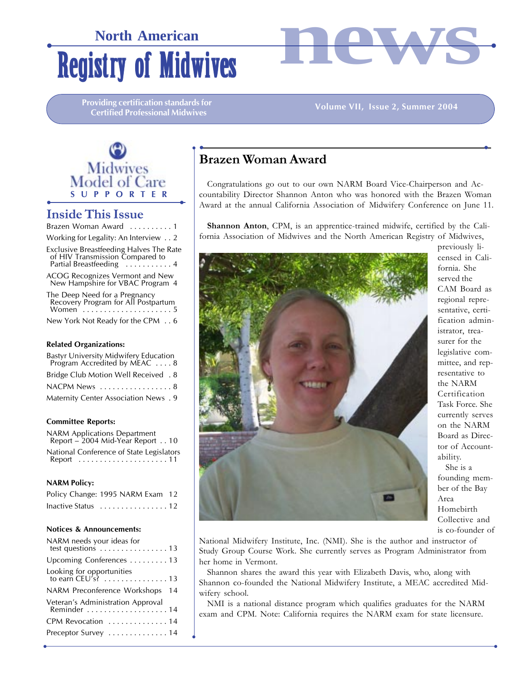# **Registry of Midwives North American**



**Providing certification standards for Certified Professional Midwives**

#### **Volume VII, Issue 2, Summer 2004**



# **Inside This Issue**

| Brazen Woman Award | . 1 |  |  |  |  |  |  |
|--------------------|-----|--|--|--|--|--|--|
|                    |     |  |  |  |  |  |  |

Working for Legality: An Interview . . 2 Exclusive Breastfeeding Halves The Rate of HIV Transmission Compared to Partial Breastfeeding . . . . . . . . . . 4

ACOG Recognizes Vermont and New New Hampshire for VBAC Program 4

The Deep Need for a Pregnancy Recovery Program for All Postpartum Women . . . . . . . . . . . . . . . . . . . . . 5

New York Not Ready for the CPM . . 6

#### **Related Organizations:**

| Bastyr University Midwifery Education<br>Program Accredited by MEAC 8 |  |
|-----------------------------------------------------------------------|--|
| Bridge Club Motion Well Received . 8                                  |  |
| NACPM News  8                                                         |  |
| Maternity Center Association News . 9                                 |  |

#### **Committee Reports:**

| <b>NARM Applications Department</b><br>Report - 2004 Mid-Year Report 10                     |
|---------------------------------------------------------------------------------------------|
| National Conference of State Legislators<br>Report $\dots\dots\dots\dots\dots\dots\dots$ 11 |

#### **NARM Policy:**

| Policy Change: 1995 NARM Exam 12 |  |  |
|----------------------------------|--|--|
| Inactive Status 12               |  |  |

#### **Notices & Announcements:**

| NARM needs your ideas for<br>test questions $\dots \dots \dots \dots \dots 13$ |
|--------------------------------------------------------------------------------|
| Upcoming Conferences 13                                                        |
| Looking for opportunities<br>to earn $CEU's$ ? 13                              |
| NARM Preconference Workshops 14                                                |
| Veteran's Administration Approval<br>Reminder 14                               |
| CPM Revocation  14                                                             |
| Preceptor Survey  14                                                           |

 $\bullet$ 

 $\bullet$  yields the contract of the contract of the contract of the contract of the contract of the contract of the contract of the contract of the contract of the contract of the contract of the contract of the contract of t

## <sup>y</sup> • • **Brazen Woman Award**

Congratulations go out to our own NARM Board Vice-Chairperson and Accountability Director Shannon Anton who was honored with the Brazen Woman Award at the annual California Association of Midwifery Conference on June 11.

**Shannon Anton**, CPM, is an apprentice-trained midwife, certified by the California Association of Midwives and the North American Registry of Midwives,



previously licensed in California. She served the CAM Board as regional representative, certification administrator, treasurer for the legislative committee, and representative to the NARM Certification Task Force. She currently serves on the NARM Board as Director of Accountability. She is a founding member of the Bay Area Homebirth Collective and

is co-founder of

National Midwifery Institute, Inc. (NMI). She is the author and instructor of Study Group Course Work. She currently serves as Program Administrator from her home in Vermont.

Shannon shares the award this year with Elizabeth Davis, who, along with Shannon co-founded the National Midwifery Institute, a MEAC accredited Midwifery school.

NMI is a national distance program which qualifies graduates for the NARM exam and CPM. Note: California requires the NARM exam for state licensure.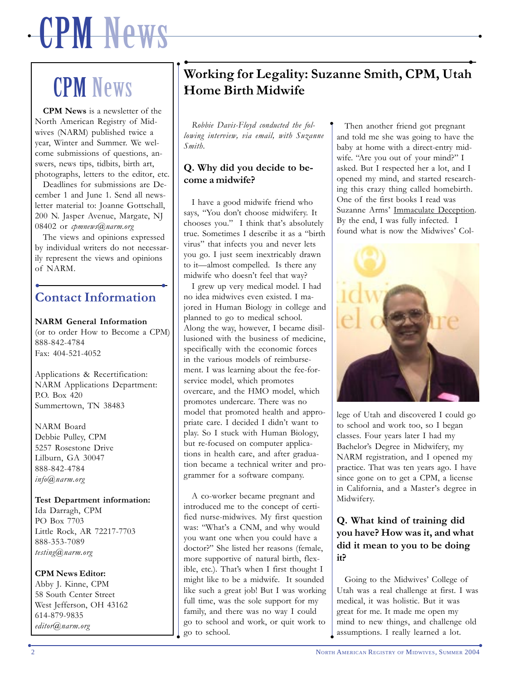# $\bullet$  , and the set of  $\mathcal{W}$  is a set of  $\mathcal{W}$  , and the set of  $\mathcal{W}$  is a set of  $\mathcal{W}$  , and the set of  $\mathcal{W}$ CPM News

 $\bullet$ 

# CPM News

**CPM News** is a newsletter of the North American Registry of Midwives (NARM) published twice a year, Winter and Summer. We welcome submissions of questions, answers, news tips, tidbits, birth art, photographs, letters to the editor, etc.

Deadlines for submissions are December 1 and June 1. Send all newsletter material to: Joanne Gottschall, 200 N. Jasper Avenue, Margate, NJ 08402 or *cpmnews@narm.org*

The views and opinions expressed by individual writers do not necessarily represent the views and opinions of NARM.

## • • **Contact Information**

#### **NARM General Information**

(or to order How to Become a CPM) 888-842-4784 Fax: 404-521-4052

Applications & Recertification: NARM Applications Department: P.O. Box 420 Summertown, TN 38483

NARM Board Debbie Pulley, CPM 5257 Rosestone Drive Lilburn, GA 30047 888-842-4784 *info@narm.org*

**Test Department information:** Ida Darragh, CPM PO Box 7703 Little Rock, AR 72217-7703 888-353-7089 *testing@narm.org*

#### **CPM News Editor:**

Abby J. Kinne, CPM 58 South Center Street West Jefferson, OH 43162 614-879-9835 *editor@narm.org*

# . **Home Birth Midwife** • • **Working for Legality: Suzanne Smith, CPM, Utah**

y

*Robbie Davis-Floyd conducted the following interview, via email, with Suzanne Smith.*

### **Q. Why did you decide to become a midwife?**

I have a good midwife friend who says, "You don't choose midwifery. It chooses you." I think that's absolutely true. Sometimes I describe it as a "birth virus" that infects you and never lets you go. I just seem inextricably drawn to it—almost compelled. Is there any midwife who doesn't feel that way?

I grew up very medical model. I had no idea midwives even existed. I majored in Human Biology in college and planned to go to medical school. Along the way, however, I became disillusioned with the business of medicine, specifically with the economic forces in the various models of reimbursement. I was learning about the fee-forservice model, which promotes overcare, and the HMO model, which promotes undercare. There was no model that promoted health and appropriate care. I decided I didn't want to play. So I stuck with Human Biology, but re-focused on computer applications in health care, and after graduation became a technical writer and programmer for a software company.

 $\downarrow$  go to school. A co-worker became pregnant and introduced me to the concept of certified nurse-midwives. My first question was: "What's a CNM, and why would you want one when you could have a doctor?" She listed her reasons (female, more supportive of natural birth, flexible, etc.). That's when I first thought I might like to be a midwife. It sounded like such a great job! But I was working full time, was the sole support for my family, and there was no way I could go to school and work, or quit work to

Then another friend got pregnant and told me she was going to have the baby at home with a direct-entry midwife. "Are you out of your mind?" I asked. But I respected her a lot, and I opened my mind, and started researching this crazy thing called homebirth. One of the first books I read was Suzanne Arms' Immaculate Deception. By the end, I was fully infected. I found what is now the Midwives' Col-



lege of Utah and discovered I could go to school and work too, so I began classes. Four years later I had my Bachelor's Degree in Midwifery, my NARM registration, and I opened my practice. That was ten years ago. I have since gone on to get a CPM, a license in California, and a Master's degree in Midwifery.

### **Q. What kind of training did you have? How was it, and what did it mean to you to be doing it?**

Going to the Midwives' College of Utah was a real challenge at first. I was medical, it was holistic. But it was great for me. It made me open my mind to new things, and challenge old assumptions. I really learned a lot.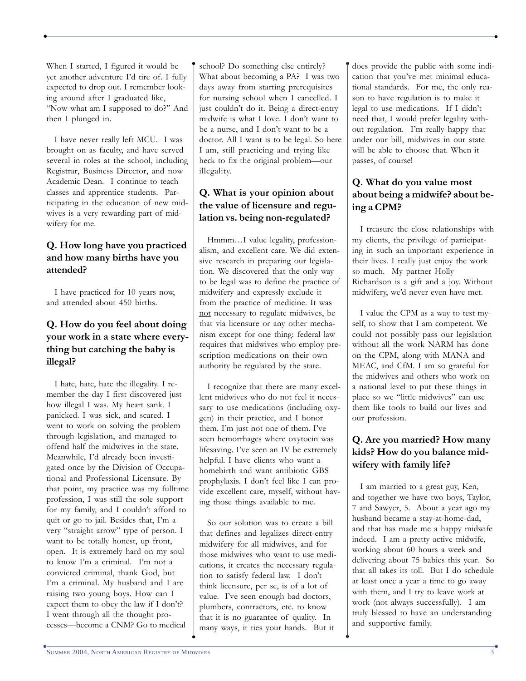When I started, I figured it would be yet another adventure I'd tire of. I fully expected to drop out. I remember looking around after I graduated like, "Now what am I supposed to do?" And then I plunged in.

y

I have never really left MCU. I was brought on as faculty, and have served several in roles at the school, including Registrar, Business Director, and now Academic Dean. I continue to teach classes and apprentice students. Participating in the education of new midwives is a very rewarding part of midwifery for me.

### **Q. How long have you practiced and how many births have you attended?**

I have practiced for 10 years now, and attended about 450 births.

### **Q. How do you feel about doing your work in a state where everything but catching the baby is illegal?**

I hate, hate, hate the illegality. I remember the day I first discovered just how illegal I was. My heart sank. I panicked. I was sick, and scared. I went to work on solving the problem through legislation, and managed to offend half the midwives in the state. Meanwhile, I'd already been investigated once by the Division of Occupational and Professional Licensure. By that point, my practice was my fulltime profession, I was still the sole support for my family, and I couldn't afford to quit or go to jail. Besides that, I'm a very "straight arrow" type of person. I want to be totally honest, up front, open. It is extremely hard on my soul to know I'm a criminal. I'm not a convicted criminal, thank God, but I'm a criminal. My husband and I are raising two young boys. How can I expect them to obey the law if I don't? I went through all the thought processes—become a CNM? Go to medical

school? Do something else entirely? What about becoming a PA? I was two days away from starting prerequisites for nursing school when I cancelled. I just couldn't do it. Being a direct-entry midwife is what I love. I don't want to be a nurse, and I don't want to be a doctor. All I want is to be legal. So here I am, still practicing and trying like heck to fix the original problem—our illegality.

 $\bullet$  yields the contract of the contract of the contract of the contract of the contract of the contract of the contract of the contract of the contract of the contract of the contract of the contract of the contract of t

y

### **Q. What is your opinion about the value of licensure and regulation vs. being non-regulated?**

Hmmm…I value legality, professionalism, and excellent care. We did extensive research in preparing our legislation. We discovered that the only way to be legal was to define the practice of midwifery and expressly exclude it from the practice of medicine. It was not necessary to regulate midwives, be that via licensure or any other mechanism except for one thing: federal law requires that midwives who employ prescription medications on their own authority be regulated by the state.

I recognize that there are many excellent midwives who do not feel it necessary to use medications (including oxygen) in their practice, and I honor them. I'm just not one of them. I've seen hemorrhages where oxytocin was lifesaving. I've seen an IV be extremely helpful. I have clients who want a homebirth and want antibiotic GBS prophylaxis. I don't feel like I can provide excellent care, myself, without having those things available to me.

So our solution was to create a bill that defines and legalizes direct-entry midwifery for all midwives, and for those midwives who want to use medications, it creates the necessary regulation to satisfy federal law. I don't think licensure, per se, is of a lot of value. I've seen enough bad doctors, plumbers, contractors, etc. to know that it is no guarantee of quality. In many ways, it ties your hands. But it

 $\bullet$ 

does provide the public with some indication that you've met minimal educational standards. For me, the only reason to have regulation is to make it legal to use medications. If I didn't need that, I would prefer legality without regulation. I'm really happy that under our bill, midwives in our state will be able to choose that. When it passes, of course!

### **Q. What do you value most about being a midwife? about being a CPM?**

I treasure the close relationships with my clients, the privilege of participating in such an important experience in their lives. I really just enjoy the work so much. My partner Holly Richardson is a gift and a joy. Without midwifery, we'd never even have met.

I value the CPM as a way to test myself, to show that I am competent. We could not possibly pass our legislation without all the work NARM has done on the CPM, along with MANA and MEAC, and CfM. I am so grateful for the midwives and others who work on a national level to put these things in place so we "little midwives" can use them like tools to build our lives and our profession.

## **Q. Are you married? How many kids? How do you balance midwifery with family life?**

I am married to a great guy, Ken, and together we have two boys, Taylor, 7 and Sawyer, 5. About a year ago my husband became a stay-at-home-dad, and that has made me a happy midwife indeed. I am a pretty active midwife, working about 60 hours a week and delivering about 75 babies this year. So that all takes its toll. But I do schedule at least once a year a time to go away with them, and I try to leave work at work (not always successfully). I am truly blessed to have an understanding and supportive family.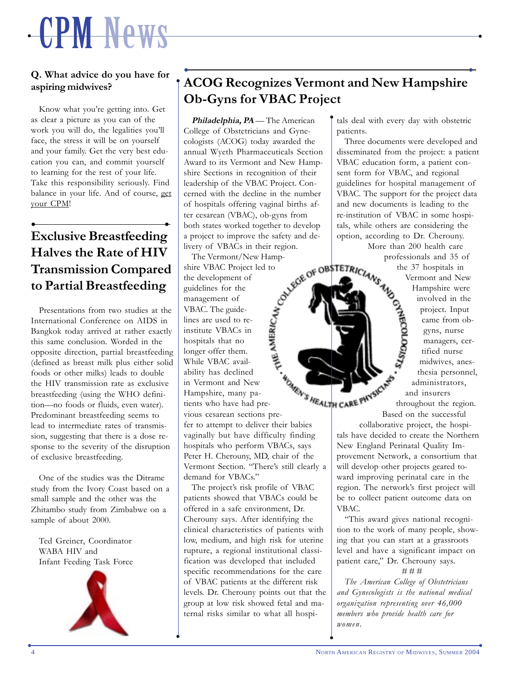# $\bullet$  , and the set of  $\mathcal{W}$  is a set of  $\mathcal{W}$  , and the set of  $\mathcal{W}$  is a set of  $\mathcal{W}$  , and the set of  $\mathcal{W}$ CPM News

### **Q. What advice do you have for aspiring midwives?**

y

Know what you're getting into. Get as clear a picture as you can of the work you will do, the legalities you'll face, the stress it will be on yourself and your family. Get the very best education you can, and commit yourself to learning for the rest of your life. Take this responsibility seriously. Find balance in your life. And of course, get your CPM!

# • • **Exclusive Breastfeeding Halves the Rate of HIV Transmission Compared to Partial Breastfeeding**

Presentations from two studies at the International Conference on AIDS in Bangkok today arrived at rather exactly this same conclusion. Worded in the opposite direction, partial breastfeeding (defined as breast milk plus either solid foods or other milks) leads to double the HIV transmission rate as exclusive breastfeeding (using the WHO definition—no foods or fluids, even water). Predominant breastfeeding seems to lead to intermediate rates of transmission, suggesting that there is a dose response to the severity of the disruption of exclusive breastfeeding.

One of the studies was the Ditrame study from the Ivory Coast based on a small sample and the other was the Zhitambo study from Zimbabwe on a sample of about 2000.

Ted Greiner, Coordinator WABA HIV and Infant Feeding Task Force



 $\bullet$ 

# • • **ACOG Recognizes Vermont and New Hampshire Ob-Gyns for VBAC Project**

y

Philadelphia, PA — The American College of Obstetricians and Gynecologists (ACOG) today awarded the annual Wyeth Pharmaceuticals Section Award to its Vermont and New Hampshire Sections in recognition of their leadership of the VBAC Project. Concerned with the decline in the number of hospitals offering vaginal births after cesarean (VBAC), ob-gyns from both states worked together to develop a project to improve the safety and delivery of VBACs in their region.

The Vermont/New Hampshire VBAC Project led to the development of guidelines for the management of VBAC. The guidelines are used to reinstitute VBACs in hospitals that no longer offer them. While VBAC availability has declined in Vermont and New Hampshire, many patients who have had previous cesarean sections prefer to attempt to deliver their babies vaginally but have difficulty finding hospitals who perform VBACs, says Peter H. Cherouny, MD, chair of the Vermont Section. "There's still clearly a demand for VBACs."

The project's risk profile of VBAC patients showed that VBACs could be offered in a safe environment, Dr. Cherouny says. After identifying the clinical characteristics of patients with low, medium, and high risk for uterine rupture, a regional institutional classification was developed that included specific recommendations for the care of VBAC patients at the different risk levels. Dr. Cherouny points out that the group at low risk showed fetal and maternal risks similar to what all hospitals deal with every day with obstetric patients.

Three documents were developed and disseminated from the project: a patient VBAC education form, a patient consent form for VBAC, and regional guidelines for hospital management of VBAC. The support for the project data and new documents is leading to the re-institution of VBAC in some hospitals, while others are considering the option, according to Dr. Cherouny.

More than 200 health care the 37 hospitals in

EVELOP OBSTETRICIANS the 37 hospitals in the 37 hospitals in Vermont and New Hampshire were<br>
streament and New Hampshire were<br>
involved in the project. Input<br>
streament on the project. Input<br>
streament on the streament of Vermont and New Hampshire were involved in the project. Input **RECOLOGISTS** came from obgyns, nurse managers, certified nurse midwives, anesthesia personnel, administrators, and insurers throughout the region. Based on the successful

collaborative project, the hospitals have decided to create the Northern New England Perinatal Quality Improvement Network, a consortium that will develop other projects geared toward improving perinatal care in the region. The network's first project will be to collect patient outcome data on VBAC.

"This award gives national recognition to the work of many people, showing that you can start at a grassroots level and have a significant impact on patient care," Dr. Cherouny says. # # #

*The American College of Obstetricians and Gynecologists is the national medical organization representing over 46,000 members who provide health care for women.*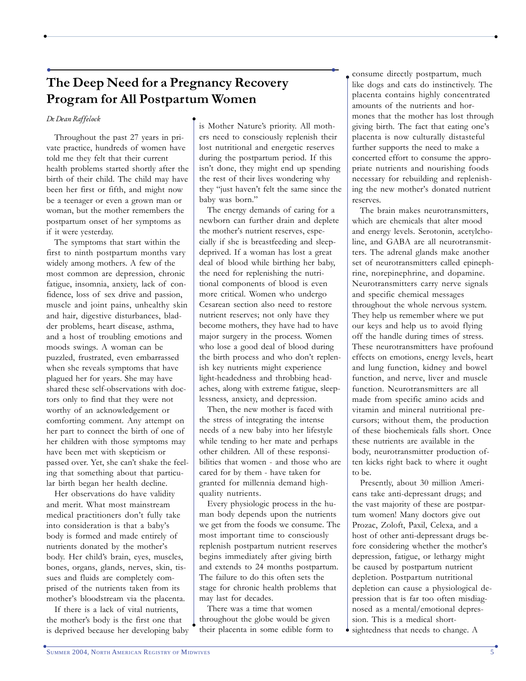# • • **The Deep Need for a Pregnancy Recovery Program for All Postpartum Women**

y

#### *Dr. Dean Raffelock*

Throughout the past 27 years in private practice, hundreds of women have told me they felt that their current health problems started shortly after the birth of their child. The child may have been her first or fifth, and might now be a teenager or even a grown man or woman, but the mother remembers the postpartum onset of her symptoms as if it were yesterday.

The symptoms that start within the first to ninth postpartum months vary widely among mothers. A few of the most common are depression, chronic fatigue, insomnia, anxiety, lack of confidence, loss of sex drive and passion, muscle and joint pains, unhealthy skin and hair, digestive disturbances, bladder problems, heart disease, asthma, and a host of troubling emotions and moods swings. A woman can be puzzled, frustrated, even embarrassed when she reveals symptoms that have plagued her for years. She may have shared these self-observations with doctors only to find that they were not worthy of an acknowledgement or comforting comment. Any attempt on her part to connect the birth of one of her children with those symptoms may have been met with skepticism or passed over. Yet, she can't shake the feeling that something about that particular birth began her health decline.

Her observations do have validity and merit. What most mainstream medical practitioners don't fully take into consideration is that a baby's body is formed and made entirely of nutrients donated by the mother's body. Her child's brain, eyes, muscles, bones, organs, glands, nerves, skin, tissues and fluids are completely comprised of the nutrients taken from its mother's bloodstream via the placenta.

If there is a lack of vital nutrients, the mother's body is the first one that is deprived because her developing baby is Mother Nature's priority. All mothers need to consciously replenish their lost nutritional and energetic reserves during the postpartum period. If this isn't done, they might end up spending the rest of their lives wondering why they "just haven't felt the same since the baby was born."

 $\bullet$  yields the contract of the contract of the contract of the contract of the contract of the contract of the contract of the contract of the contract of the contract of the contract of the contract of the contract of t

y

The energy demands of caring for a newborn can further drain and deplete the mother's nutrient reserves, especially if she is breastfeeding and sleepdeprived. If a woman has lost a great deal of blood while birthing her baby, the need for replenishing the nutritional components of blood is even more critical. Women who undergo Cesarean section also need to restore nutrient reserves; not only have they become mothers, they have had to have major surgery in the process. Women who lose a good deal of blood during the birth process and who don't replenish key nutrients might experience light-headedness and throbbing headaches, along with extreme fatigue, sleeplessness, anxiety, and depression.

Then, the new mother is faced with the stress of integrating the intense needs of a new baby into her lifestyle while tending to her mate and perhaps other children. All of these responsibilities that women - and those who are cared for by them - have taken for granted for millennia demand highquality nutrients.

Every physiologic process in the human body depends upon the nutrients we get from the foods we consume. The most important time to consciously replenish postpartum nutrient reserves begins immediately after giving birth and extends to 24 months postpartum. The failure to do this often sets the stage for chronic health problems that may last for decades.

There was a time that women throughout the globe would be given their placenta in some edible form to

consume directly postpartum, much like dogs and cats do instinctively. The placenta contains highly concentrated amounts of the nutrients and hormones that the mother has lost through giving birth. The fact that eating one's placenta is now culturally distasteful further supports the need to make a concerted effort to consume the appropriate nutrients and nourishing foods necessary for rebuilding and replenishing the new mother's donated nutrient reserves.

The brain makes neurotransmitters, which are chemicals that alter mood and energy levels. Serotonin, acetylcholine, and GABA are all neurotransmitters. The adrenal glands make another set of neurotransmitters called epinephrine, norepinephrine, and dopamine. Neurotransmitters carry nerve signals and specific chemical messages throughout the whole nervous system. They help us remember where we put our keys and help us to avoid flying off the handle during times of stress. These neurotransmitters have profound effects on emotions, energy levels, heart and lung function, kidney and bowel function, and nerve, liver and muscle function. Neurotransmitters are all made from specific amino acids and vitamin and mineral nutritional precursors; without them, the production of these biochemicals falls short. Once these nutrients are available in the body, neurotransmitter production often kicks right back to where it ought to be.

• sightedness that needs to change. A Presently, about 30 million Americans take anti-depressant drugs; and the vast majority of these are postpartum women! Many doctors give out Prozac, Zoloft, Paxil, Celexa, and a host of other anti-depressant drugs before considering whether the mother's depression, fatigue, or lethargy might be caused by postpartum nutrient depletion. Postpartum nutritional depletion can cause a physiological depression that is far too often misdiagnosed as a mental/emotional depression. This is a medical short-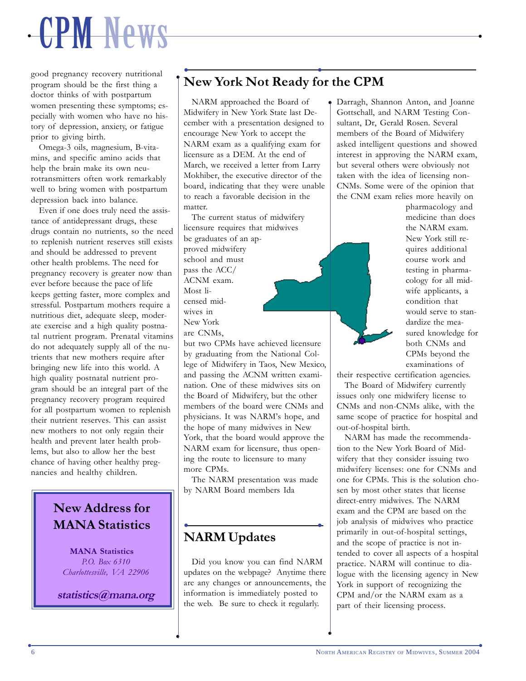# $\bullet$  , and the set of  $\mathcal{W}$  is a set of  $\mathcal{W}$  , and the set of  $\mathcal{W}$  is a set of  $\mathcal{W}$  , and the set of  $\mathcal{W}$ CPM News

good pregnancy recovery nutritional program should be the first thing a doctor thinks of with postpartum women presenting these symptoms; especially with women who have no history of depression, anxiety, or fatigue prior to giving birth.

y

Omega-3 oils, magnesium, B-vitamins, and specific amino acids that help the brain make its own neurotransmitters often work remarkably well to bring women with postpartum depression back into balance.

Even if one does truly need the assistance of antidepressant drugs, these drugs contain no nutrients, so the need to replenish nutrient reserves still exists and should be addressed to prevent other health problems. The need for pregnancy recovery is greater now than ever before because the pace of life keeps getting faster, more complex and stressful. Postpartum mothers require a nutritious diet, adequate sleep, moderate exercise and a high quality postnatal nutrient program. Prenatal vitamins do not adequately supply all of the nutrients that new mothers require after bringing new life into this world. A high quality postnatal nutrient program should be an integral part of the pregnancy recovery program required for all postpartum women to replenish their nutrient reserves. This can assist new mothers to not only regain their health and prevent later health problems, but also to allow her the best chance of having other healthy pregnancies and healthy children.

# **New Address for MANA Statistics**

**MANA Statistics** *P.O. Box 6310 Charlottesville, VA 22906*

**statistics@mana.org**

## • • **New York Not Ready for the CPM**

y

NARM approached the Board of Midwifery in New York State last December with a presentation designed to encourage New York to accept the NARM exam as a qualifying exam for licensure as a DEM. At the end of March, we received a letter from Larry Mokhiber, the executive director of the board, indicating that they were unable to reach a favorable decision in the matter.

The current status of midwifery licensure requires that midwives be graduates of an approved midwifery school and must pass the ACC/ ACNM exam. Most licensed midwives in New York are CNMs, but two CPMs have achieved licensure

by graduating from the National College of Midwifery in Taos, New Mexico, and passing the ACNM written examination. One of these midwives sits on the Board of Midwifery, but the other members of the board were CNMs and physicians. It was NARM's hope, and the hope of many midwives in New York, that the board would approve the NARM exam for licensure, thus opening the route to licensure to many more CPMs.

The NARM presentation was made by NARM Board members Ida

## • • **NARM Updates**

 $\bullet$ 

Did you know you can find NARM updates on the webpage? Anytime there are any changes or announcements, the information is immediately posted to the web. Be sure to check it regularly.

Darragh, Shannon Anton, and Joanne Gottschall, and NARM Testing Consultant, Dr, Gerald Rosen. Several members of the Board of Midwifery asked intelligent questions and showed interest in approving the NARM exam, but several others were obviously not taken with the idea of licensing non-CNMs. Some were of the opinion that the CNM exam relies more heavily on

pharmacology and medicine than does the NARM exam. New York still requires additional course work and testing in pharmacology for all midwife applicants, a condition that would serve to standardize the measured knowledge for both CNMs and CPMs beyond the examinations of

their respective certification agencies.

The Board of Midwifery currently issues only one midwifery license to CNMs and non-CNMs alike, with the same scope of practice for hospital and out-of-hospital birth.

NARM has made the recommendation to the New York Board of Midwifery that they consider issuing two midwifery licenses: one for CNMs and one for CPMs. This is the solution chosen by most other states that license direct-entry midwives. The NARM exam and the CPM are based on the job analysis of midwives who practice primarily in out-of-hospital settings, and the scope of practice is not intended to cover all aspects of a hospital practice. NARM will continue to dialogue with the licensing agency in New York in support of recognizing the CPM and/or the NARM exam as a part of their licensing process.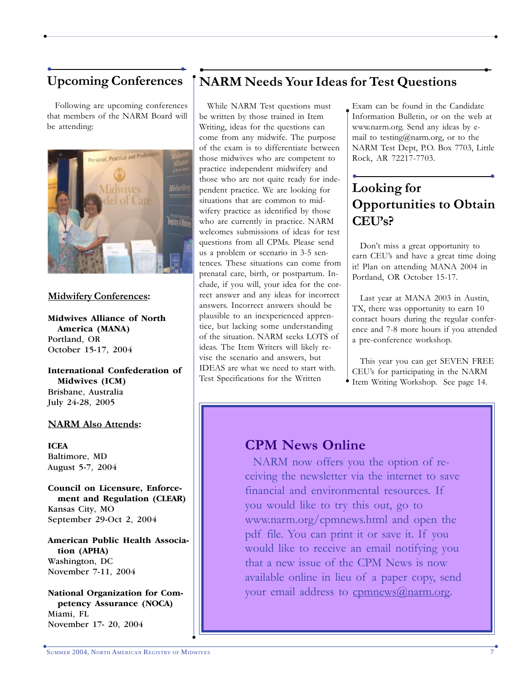Following are upcoming conferences that members of the NARM Board will be attending:



#### **Midwifery Conferences:**

**Midwives Alliance of North America (MANA)** Portland, OR October 15-17, 2004

**International Confederation of Midwives (ICM)** Brisbane, Australia July 24-28, 2005

#### **NARM Also Attends:**

**ICEA** Baltimore, MD August 5-7, 2004

**Council on Licensure, Enforcement and Regulation (CLEAR)** Kansas City, MO September 29-Oct 2, 2004

**American Public Health Association (APHA)** Washington, DC November 7-11, 2004

**National Organization for Competency Assurance (NOCA)** Miami, FL November 17- 20, 2004

# y • • **NARM Needs Your Ideas for Test Questions** • • **Upcoming Conferences**

y

While NARM Test questions must be written by those trained in Item Writing, ideas for the questions can come from any midwife. The purpose of the exam is to differentiate between those midwives who are competent to practice independent midwifery and those who are not quite ready for independent practice. We are looking for situations that are common to midwifery practice as identified by those who are currently in practice. NARM welcomes submissions of ideas for test questions from all CPMs. Please send us a problem or scenario in 3-5 sentences. These situations can come from prenatal care, birth, or postpartum. Include, if you will, your idea for the correct answer and any ideas for incorrect answers. Incorrect answers should be plausible to an inexperienced apprentice, but lacking some understanding of the situation. NARM seeks LOTS of ideas. The Item Writers will likely revise the scenario and answers, but IDEAS are what we need to start with. Test Specifications for the Written

 $\bullet$  yields the contract of the contract of the contract of the contract of the contract of the contract of the contract of the contract of the contract of the contract of the contract of the contract of the contract of t

Exam can be found in the Candidate Information Bulletin, or on the web at www.narm.org. Send any ideas by email to testing@narm.org, or to the NARM Test Dept, P.O. Box 7703, Little Rock, AR 72217-7703.

# • • **Looking for Opportunities to Obtain CEU's?**

Don't miss a great opportunity to earn CEU's and have a great time doing it! Plan on attending MANA 2004 in Portland, OR October 15-17.

Last year at MANA 2003 in Austin, TX, there was opportunity to earn 10 contact hours during the regular conference and 7-8 more hours if you attended a pre-conference workshop.

Item Writing Workshop. See page 14. This year you can get SEVEN FREE CEU's for participating in the NARM

# **CPM News Online**

NARM now offers you the option of receiving the newsletter via the internet to save financial and environmental resources. If you would like to try this out, go to www.narm.org/cpmnews.html and open the pdf file. You can print it or save it. If you would like to receive an email notifying you that a new issue of the CPM News is now available online in lieu of a paper copy, send your email address to comnews@narm.org.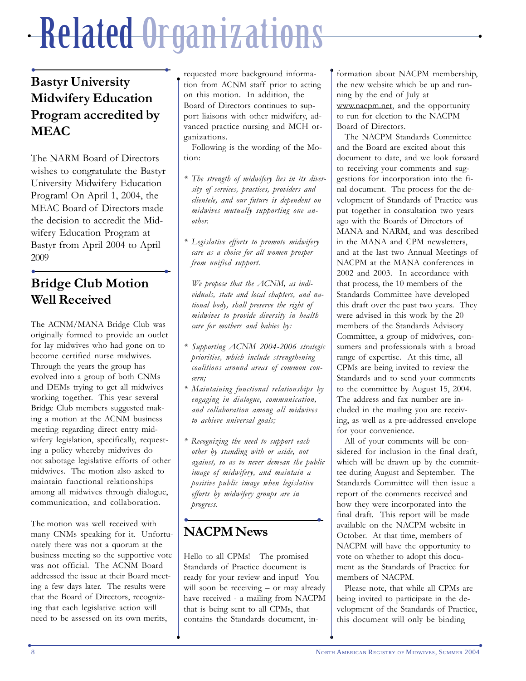# y y Related Organizations

 $\bullet$ 

# • • **Bastyr University Midwifery Education Program accredited by MEAC**

The NARM Board of Directors wishes to congratulate the Bastyr University Midwifery Education Program! On April 1, 2004, the MEAC Board of Directors made the decision to accredit the Midwifery Education Program at Bastyr from April 2004 to April 2009

# • • **Bridge Club Motion Well Received**

The ACNM/MANA Bridge Club was originally formed to provide an outlet for lay midwives who had gone on to become certified nurse midwives. Through the years the group has evolved into a group of both CNMs and DEMs trying to get all midwives working together. This year several Bridge Club members suggested making a motion at the ACNM business meeting regarding direct entry midwifery legislation, specifically, requesting a policy whereby midwives do not sabotage legislative efforts of other midwives. The motion also asked to maintain functional relationships among all midwives through dialogue, communication, and collaboration.

The motion was well received with many CNMs speaking for it. Unfortunately there was not a quorum at the business meeting so the supportive vote was not official. The ACNM Board addressed the issue at their Board meeting a few days later. The results were that the Board of Directors, recognizing that each legislative action will need to be assessed on its own merits,

requested more background information from ACNM staff prior to acting on this motion. In addition, the Board of Directors continues to support liaisons with other midwifery, advanced practice nursing and MCH organizations.

Following is the wording of the Motion:

- *\* The strength of midwifery lies in its diversity of services, practices, providers and clientele, and our future is dependent on midwives mutually supporting one another.*
- *\* Legislative efforts to promote midwifery care as a choice for all women prosper from unified support.*

*We propose that the ACNM, as individuals, state and local chapters, and national body, shall preserve the right of midwives to provide diversity in health care for mothers and babies by:*

- *\* Supporting ACNM 2004-2006 strategic priorities, which include strengthening coalitions around areas of common concern;*
- *\* Maintaining functional relationships by engaging in dialogue, communication, and collaboration among all midwives to achieve universal goals;*
- *\* Recognizing the need to support each other by standing with or aside, not against, so as to never demean the public image of midwifery, and maintain a positive public image when legislative efforts by midwifery groups are in progress.*

### • • **NACPM News**

 $\bullet$ 

Hello to all CPMs! The promised Standards of Practice document is ready for your review and input! You will soon be receiving – or may already have received - a mailing from NACPM that is being sent to all CPMs, that contains the Standards document, information about NACPM membership, the new website which be up and running by the end of July at www.nacpm.net, and the opportunity to run for election to the NACPM Board of Directors.

y

The NACPM Standards Committee and the Board are excited about this document to date, and we look forward to receiving your comments and suggestions for incorporation into the final document. The process for the development of Standards of Practice was put together in consultation two years ago with the Boards of Directors of MANA and NARM, and was described in the MANA and CPM newsletters, and at the last two Annual Meetings of NACPM at the MANA conferences in 2002 and 2003. In accordance with that process, the 10 members of the Standards Committee have developed this draft over the past two years. They were advised in this work by the 20 members of the Standards Advisory Committee, a group of midwives, consumers and professionals with a broad range of expertise. At this time, all CPMs are being invited to review the Standards and to send your comments to the committee by August 15, 2004. The address and fax number are included in the mailing you are receiving, as well as a pre-addressed envelope for your convenience.

All of your comments will be considered for inclusion in the final draft, which will be drawn up by the committee during August and September. The Standards Committee will then issue a report of the comments received and how they were incorporated into the final draft. This report will be made available on the NACPM website in October. At that time, members of NACPM will have the opportunity to vote on whether to adopt this document as the Standards of Practice for members of NACPM.

Please note, that while all CPMs are being invited to participate in the development of the Standards of Practice, this document will only be binding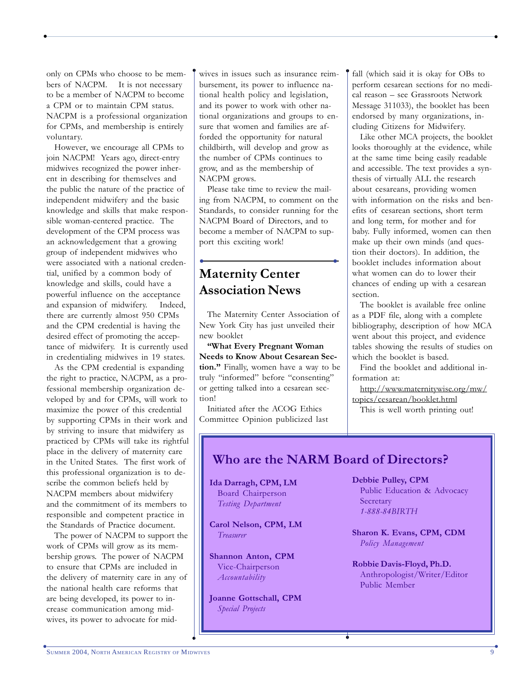only on CPMs who choose to be members of NACPM. It is not necessary to be a member of NACPM to become a CPM or to maintain CPM status. NACPM is a professional organization for CPMs, and membership is entirely voluntary.

However, we encourage all CPMs to join NACPM! Years ago, direct-entry midwives recognized the power inherent in describing for themselves and the public the nature of the practice of independent midwifery and the basic knowledge and skills that make responsible woman-centered practice. The development of the CPM process was an acknowledgement that a growing group of independent midwives who were associated with a national credential, unified by a common body of knowledge and skills, could have a powerful influence on the acceptance and expansion of midwifery. Indeed, there are currently almost 950 CPMs and the CPM credential is having the desired effect of promoting the acceptance of midwifery. It is currently used in credentialing midwives in 19 states.

As the CPM credential is expanding the right to practice, NACPM, as a professional membership organization developed by and for CPMs, will work to maximize the power of this credential by supporting CPMs in their work and by striving to insure that midwifery as practiced by CPMs will take its rightful place in the delivery of maternity care in the United States. The first work of this professional organization is to describe the common beliefs held by NACPM members about midwifery and the commitment of its members to responsible and competent practice in the Standards of Practice document.

The power of NACPM to support the work of CPMs will grow as its membership grows. The power of NACPM to ensure that CPMs are included in the delivery of maternity care in any of the national health care reforms that are being developed, its power to increase communication among midwives, its power to advocate for midwives in issues such as insurance reimbursement, its power to influence national health policy and legislation, and its power to work with other national organizations and groups to ensure that women and families are afforded the opportunity for natural childbirth, will develop and grow as the number of CPMs continues to grow, and as the membership of NACPM grows.

 $\bullet$  yields the contract of the contract of the contract of the contract of the contract of the contract of the contract of the contract of the contract of the contract of the contract of the contract of the contract of t

y

Please take time to review the mailing from NACPM, to comment on the Standards, to consider running for the NACPM Board of Directors, and to become a member of NACPM to support this exciting work!

# • • **Maternity Center Association News**

The Maternity Center Association of New York City has just unveiled their new booklet

**"What Every Pregnant Woman Needs to Know About Cesarean Section."** Finally, women have a way to be truly "informed" before "consenting" or getting talked into a cesarean section!

Initiated after the ACOG Ethics Committee Opinion publicized last fall (which said it is okay for OBs to perform cesarean sections for no medical reason – see Grassroots Network Message 311033), the booklet has been endorsed by many organizations, including Citizens for Midwifery.

y

Like other MCA projects, the booklet looks thoroughly at the evidence, while at the same time being easily readable and accessible. The text provides a synthesis of virtually ALL the research about cesareans, providing women with information on the risks and benefits of cesarean sections, short term and long term, for mother and for baby. Fully informed, women can then make up their own minds (and question their doctors). In addition, the booklet includes information about what women can do to lower their chances of ending up with a cesarean section.

The booklet is available free online as a PDF file, along with a complete bibliography, description of how MCA went about this project, and evidence tables showing the results of studies on which the booklet is based.

Find the booklet and additional information at:

http://www.maternitywise.org/mw/ topics/cesarean/booklet.html

This is well worth printing out!

# **Who are the NARM Board of Directors?**

 $\bullet$ 

**Ida Darragh, CPM, LM** Board Chairperson *Testing Department*

**Carol Nelson, CPM, LM** *Treasurer*

**Shannon Anton, CPM** Vice-Chairperson *Accountability*

**Joanne Gottschall, CPM** *Special Projects*

 $\bullet$ 

**Debbie Pulley, CPM** Public Education & Advocacy Secretary *1-888-84BIRTH*

**Sharon K. Evans, CPM, CDM** *Policy Management*

**Robbie Davis-Floyd, Ph.D.** Anthropologist/Writer/Editor Public Member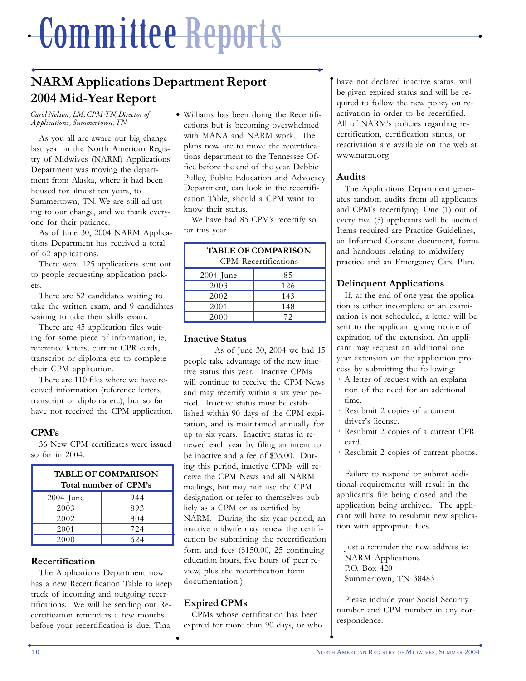# <u>╺▄▊▄▕▋▋▋▌▌▋▅▋▌▋▐▕▌▊▊▟▀▀▊░▖▊▅▚▌▌▎▌▊▌▅▐▅░▅▅▅▅▅▅▅▅▅▅▅▅▅▅▅▅▅▅▅▅▅</u>▅▅ Committee Reports

# • • **NARM Applications Department Report 2004 Mid-Year Report**

 $\bullet$ 

*Carol Nelson, LM, CPM-TN, Director of Applications, Summertown, TN*

As you all are aware our big change last year in the North American Registry of Midwives (NARM) Applications Department was moving the department from Alaska, where it had been housed for almost ten years, to Summertown, TN. We are still adjusting to our change, and we thank everyone for their patience.

As of June 30, 2004 NARM Applications Department has received a total of 62 applications.

There were 125 applications sent out to people requesting application packets.

There are 52 candidates waiting to take the written exam, and 9 candidates waiting to take their skills exam.

There are 45 application files waiting for some piece of information, ie, reference letters, current CPR cards, transcript or diploma etc to complete their CPM application.

There are 110 files where we have received information (reference letters, transcript or diploma etc), but so far have not received the CPM application.

### **CPM's**

36 New CPM certificates were issued so far in 2004.

| <b>TABLE OF COMPARISON</b><br>Total number of CPM's |     |  |  |  |
|-----------------------------------------------------|-----|--|--|--|
| $2004$ June                                         | 944 |  |  |  |
| 2003                                                | 893 |  |  |  |
| 2002                                                | 804 |  |  |  |
| 2001                                                | 724 |  |  |  |
| 2000                                                | 624 |  |  |  |

### **Recertification**

The Applications Department now has a new Recertification Table to keep track of incoming and outgoing recertifications. We will be sending out Recertification reminders a few months before your recertification is due. Tina

Williams has been doing the Recertifications but is becoming overwhelmed with MANA and NARM work. The plans now are to move the recertifications department to the Tennessee Office before the end of the year. Debbie Pulley, Public Education and Advocacy Department, can look in the recertification Table, should a CPM want to know their status.

We have had 85 CPM's recertify so far this year

| <b>TABLE OF COMPARISON</b><br><b>CPM</b> Recertifications |     |  |  |  |  |
|-----------------------------------------------------------|-----|--|--|--|--|
| $2004$ June                                               | 85  |  |  |  |  |
| 2003                                                      | 126 |  |  |  |  |
| 2002                                                      | 143 |  |  |  |  |
| 2001                                                      | 148 |  |  |  |  |
| 2000                                                      | 72  |  |  |  |  |

#### **Inactive Status**

As of June 30, 2004 we had 15 people take advantage of the new inactive status this year. Inactive CPMs will continue to receive the CPM News and may recertify within a six year period. Inactive status must be established within 90 days of the CPM expiration, and is maintained annually for up to six years. Inactive status in renewed each year by filing an intent to be inactive and a fee of \$35.00. During this period, inactive CPMs will receive the CPM News and all NARM mailings, but may not use the CPM designation or refer to themselves publicly as a CPM or as certified by NARM. During the six year period, an inactive midwife may renew the certification by submitting the recertification form and fees (\$150.00, 25 continuing education hours, five hours of peer review, plus the recertification form documentation.).

### **Expired CPMs**

 $\bullet$ 

CPMs whose certification has been expired for more than 90 days, or who have not declared inactive status, will be given expired status and will be required to follow the new policy on reactivation in order to be recertified. All of NARM's policies regarding recertification, certification status, or reactivation are available on the web at www.narm.org

#### **Audits**

y

The Applications Department generates random audits from all applicants and CPM's recertifying. One (1) out of every five (5) applicants will be audited. Items required are Practice Guidelines, an Informed Consent document, forms and handouts relating to midwifery practice and an Emergency Care Plan.

#### **Delinquent Applications**

If, at the end of one year the application is either incomplete or an examination is not scheduled, a letter will be sent to the applicant giving notice of expiration of the extension. An applicant may request an additional one year extension on the application process by submitting the following:

- · A letter of request with an explanation of the need for an additional time.
- · Resubmit 2 copies of a current driver's license.
- · Resubmit 2 copies of a current CPR card.
- · Resubmit 2 copies of current photos.

Failure to respond or submit additional requirements will result in the applicant's file being closed and the application being archived. The applicant will have to resubmit new application with appropriate fees.

Just a reminder the new address is: NARM Applications P.O. Box 420 Summertown, TN 38483

Please include your Social Security number and CPM number in any correspondence.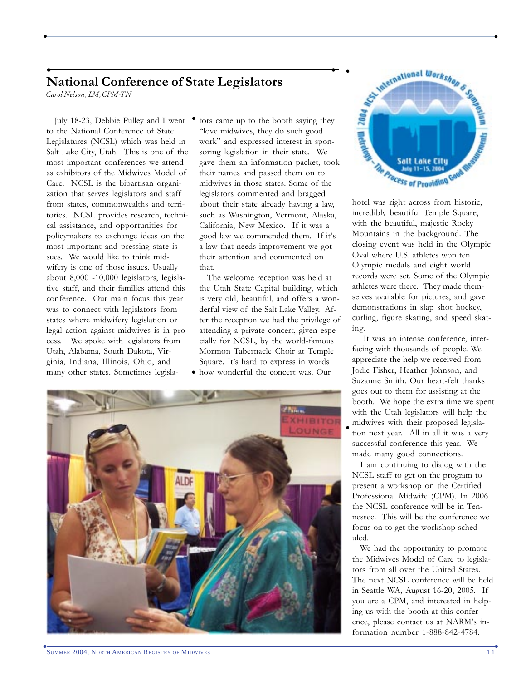## • • **National Conference of State Legislators**

y

*Carol Nelson, LM, CPM-TN*

July 18-23, Debbie Pulley and I went to the National Conference of State Legislatures (NCSL) which was held in Salt Lake City, Utah. This is one of the most important conferences we attend as exhibitors of the Midwives Model of Care. NCSL is the bipartisan organization that serves legislators and staff from states, commonwealths and territories. NCSL provides research, technical assistance, and opportunities for policymakers to exchange ideas on the most important and pressing state issues. We would like to think midwifery is one of those issues. Usually about 8,000 -10,000 legislators, legislative staff, and their families attend this conference. Our main focus this year was to connect with legislators from states where midwifery legislation or legal action against midwives is in process. We spoke with legislators from Utah, Alabama, South Dakota, Virginia, Indiana, Illinois, Ohio, and many other states. Sometimes legislators came up to the booth saying they "love midwives, they do such good work" and expressed interest in sponsoring legislation in their state. We gave them an information packet, took their names and passed them on to midwives in those states. Some of the legislators commented and bragged about their state already having a law, such as Washington, Vermont, Alaska, California, New Mexico. If it was a good law we commended them. If it's a law that needs improvement we got their attention and commented on that.

 $\bullet$  yields the contract of the contract of the contract of the contract of the contract of the contract of the contract of the contract of the contract of the contract of the contract of the contract of the contract of t

The welcome reception was held at the Utah State Capital building, which is very old, beautiful, and offers a wonderful view of the Salt Lake Valley. After the reception we had the privilege of attending a private concert, given especially for NCSL, by the world-famous Mormon Tabernacle Choir at Temple Square. It's hard to express in words how wonderful the concert was. Our



 $\bullet$ 



hotel was right across from historic, incredibly beautiful Temple Square, with the beautiful, majestic Rocky Mountains in the background. The closing event was held in the Olympic Oval where U.S. athletes won ten Olympic medals and eight world records were set. Some of the Olympic athletes were there. They made themselves available for pictures, and gave demonstrations in slap shot hockey, curling, figure skating, and speed skating.

 It was an intense conference, interfacing with thousands of people. We appreciate the help we received from Jodie Fisher, Heather Johnson, and Suzanne Smith. Our heart-felt thanks goes out to them for assisting at the booth. We hope the extra time we spent with the Utah legislators will help the midwives with their proposed legislation next year. All in all it was a very successful conference this year. We made many good connections.

I am continuing to dialog with the NCSL staff to get on the program to present a workshop on the Certified Professional Midwife (CPM). In 2006 the NCSL conference will be in Tennessee. This will be the conference we focus on to get the workshop scheduled.

We had the opportunity to promote the Midwives Model of Care to legislators from all over the United States. The next NCSL conference will be held in Seattle WA, August 16-20, 2005. If you are a CPM, and interested in helping us with the booth at this conference, please contact us at NARM's information number 1-888-842-4784.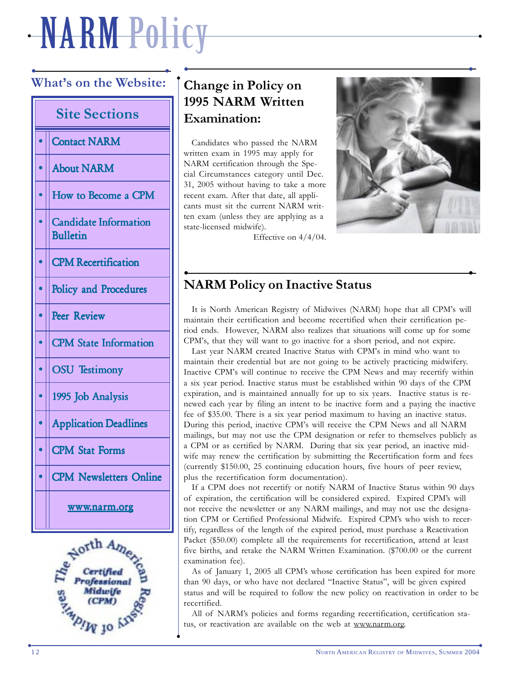# $\cdot$  iv  $\Lambda$  in the finite value of  $\Lambda$  is the finite value of  $\Lambda$  in the finite value of  $\Lambda$ NARM Policy

 $\bullet$ 

# • • **What's on the Website: Site Sections** • Contact NARM • About NARM • How to Become a CPM • Candidate Information Bulletin • CPM Recertification • Bolicy and Procedures • Peer Review • CPM State Information  $\cdot$  | OSU Testimony • || 1995 Job Analysis • Application Deadlines • CPM Stat Forms • CPM Newsletters Online www.narm.org



 $\bullet$ 

# **Change in Policy on 1995 NARM Written Examination:**

Candidates who passed the NARM written exam in 1995 may apply for NARM certification through the Special Circumstances category until Dec. 31, 2005 without having to take a more recent exam. After that date, all applicants must sit the current NARM written exam (unless they are applying as a state-licensed midwife).



Effective on 4/4/04.

## • • **NARM Policy on Inactive Status**

It is North American Registry of Midwives (NARM) hope that all CPM's will maintain their certification and become recertified when their certification period ends. However, NARM also realizes that situations will come up for some CPM's, that they will want to go inactive for a short period, and not expire.

Last year NARM created Inactive Status with CPM's in mind who want to maintain their credential but are not going to be actively practicing midwifery. Inactive CPM's will continue to receive the CPM News and may recertify within a six year period. Inactive status must be established within 90 days of the CPM expiration, and is maintained annually for up to six years. Inactive status is renewed each year by filing an intent to be inactive form and a paying the inactive fee of \$35.00. There is a six year period maximum to having an inactive status. During this period, inactive CPM's will receive the CPM News and all NARM mailings, but may not use the CPM designation or refer to themselves publicly as a CPM or as certified by NARM. During that six year period, an inactive midwife may renew the certification by submitting the Recertification form and fees (currently \$150.00, 25 continuing education hours, five hours of peer review, plus the recertification form documentation).

If a CPM does not recertify or notify NARM of Inactive Status within 90 days of expiration, the certification will be considered expired. Expired CPM's will not receive the newsletter or any NARM mailings, and may not use the designation CPM or Certified Professional Midwife. Expired CPM's who wish to recertify, regardless of the length of the expired period, must purchase a Reactivation Packet (\$50.00) complete all the requirements for recertification, attend at least five births, and retake the NARM Written Examination. (\$700.00 or the current examination fee).

As of January 1, 2005 all CPM's whose certification has been expired for more than 90 days, or who have not declared "Inactive Status", will be given expired status and will be required to follow the new policy on reactivation in order to be recertified.

All of NARM's policies and forms regarding recertification, certification status, or reactivation are available on the web at www.narm.org.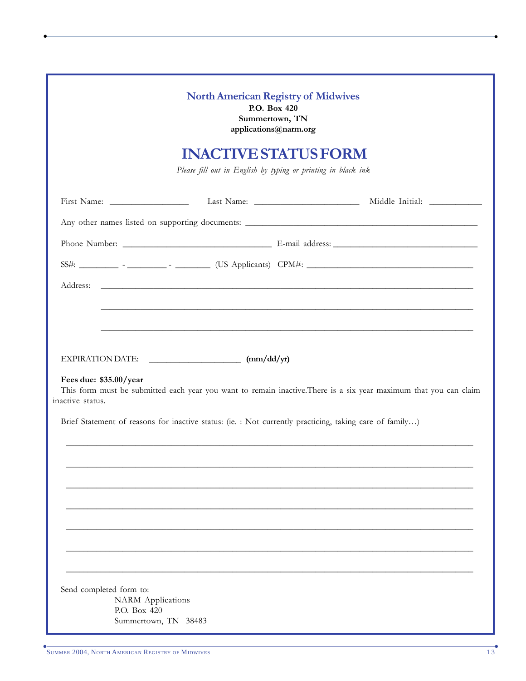|                                                                     | <b>North American Registry of Midwives</b><br>P.O. Box 420<br>Summertown, TN<br>applications@narm.org   |                                                                                                                   |
|---------------------------------------------------------------------|---------------------------------------------------------------------------------------------------------|-------------------------------------------------------------------------------------------------------------------|
|                                                                     | <b>INACTIVE STATUS FORM</b><br>Please fill out in English by typing or printing in black ink            |                                                                                                                   |
|                                                                     |                                                                                                         |                                                                                                                   |
|                                                                     |                                                                                                         |                                                                                                                   |
|                                                                     |                                                                                                         |                                                                                                                   |
|                                                                     |                                                                                                         |                                                                                                                   |
|                                                                     |                                                                                                         |                                                                                                                   |
| Fees due: \$35.00/year<br>inactive status.                          | Brief Statement of reasons for inactive status: (ie. : Not currently practicing, taking care of family) | This form must be submitted each year you want to remain inactive. There is a six year maximum that you can claim |
|                                                                     |                                                                                                         |                                                                                                                   |
|                                                                     |                                                                                                         |                                                                                                                   |
|                                                                     |                                                                                                         |                                                                                                                   |
| Send completed form to:<br><b>NARM</b> Applications<br>P.O. Box 420 | Summertown, TN 38483                                                                                    |                                                                                                                   |

 $\bullet$  yields the contract of the contract of the contract of the contract of the contract of the contract of the contract of the contract of the contract of the contract of the contract of the contract of the contract of t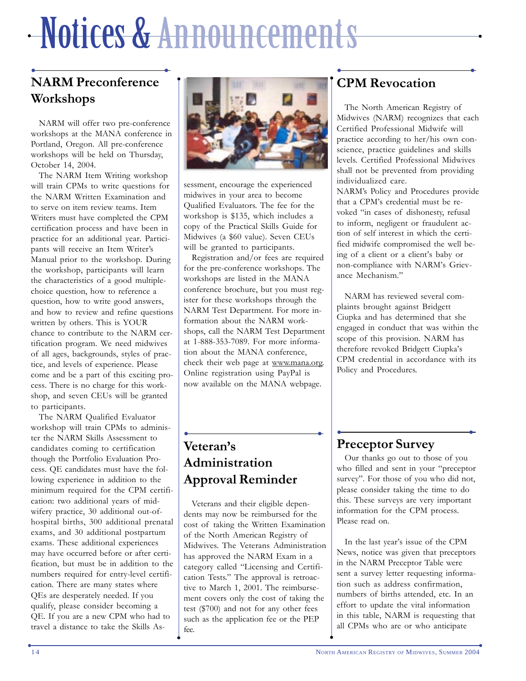# $\cdot$  in the fixed of the field in the field  $\cdot$  , and  $\cdot$  , and  $\cdot$  , and  $\cdot$  , and  $\cdot$  , and  $\cdot$  , and  $\cdot$  , and  $\cdot$  , and  $\cdot$  , and  $\cdot$  , and  $\cdot$  , and  $\cdot$  , and  $\cdot$  , and  $\cdot$  , and  $\cdot$  , and  $\cdot$  , and Notices & Announcements

# • • **NARM Preconference Workshops**

NARM will offer two pre-conference workshops at the MANA conference in Portland, Oregon. All pre-conference workshops will be held on Thursday, October 14, 2004.

The NARM Item Writing workshop will train CPMs to write questions for the NARM Written Examination and to serve on item review teams. Item Writers must have completed the CPM certification process and have been in practice for an additional year. Participants will receive an Item Writer's Manual prior to the workshop. During the workshop, participants will learn the characteristics of a good multiplechoice question, how to reference a question, how to write good answers, and how to review and refine questions written by others. This is YOUR chance to contribute to the NARM certification program. We need midwives of all ages, backgrounds, styles of practice, and levels of experience. Please come and be a part of this exciting process. There is no charge for this workshop, and seven CEUs will be granted to participants.

The NARM Qualified Evaluator workshop will train CPMs to administer the NARM Skills Assessment to candidates coming to certification though the Portfolio Evaluation Process. QE candidates must have the following experience in addition to the minimum required for the CPM certification: two additional years of midwifery practice, 30 additional out-ofhospital births, 300 additional prenatal exams, and 30 additional postpartum exams. These additional experiences may have occurred before or after certification, but must be in addition to the numbers required for entry-level certification. There are many states where QEs are desperately needed. If you qualify, please consider becoming a QE. If you are a new CPM who had to travel a distance to take the Skills As-



sessment, encourage the experienced midwives in your area to become Qualified Evaluators. The fee for the workshop is \$135, which includes a copy of the Practical Skills Guide for Midwives (a \$60 value). Seven CEUs will be granted to participants.

Registration and/or fees are required for the pre-conference workshops. The workshops are listed in the MANA conference brochure, but you must register for these workshops through the NARM Test Department. For more information about the NARM workshops, call the NARM Test Department at 1-888-353-7089. For more information about the MANA conference, check their web page at www.mana.org. Online registration using PayPal is now available on the MANA webpage.

## • • **CPM Revocation**

The North American Registry of Midwives (NARM) recognizes that each Certified Professional Midwife will practice according to her/his own conscience, practice guidelines and skills levels. Certified Professional Midwives shall not be prevented from providing individualized care.

NARM's Policy and Procedures provide that a CPM's credential must be revoked "in cases of dishonesty, refusal to inform, negligent or fraudulent action of self interest in which the certified midwife compromised the well being of a client or a client's baby or non-compliance with NARM's Grievance Mechanism."

NARM has reviewed several complaints brought against Bridgett Ciupka and has determined that she engaged in conduct that was within the scope of this provision. NARM has therefore revoked Bridgett Ciupka's CPM credential in accordance with its Policy and Procedures.

# • • **Veteran's Administration Approval Reminder**

Veterans and their eligible dependents may now be reimbursed for the cost of taking the Written Examination of the North American Registry of Midwives. The Veterans Administration has approved the NARM Exam in a category called "Licensing and Certification Tests." The approval is retroactive to March 1, 2001. The reimbursement covers only the cost of taking the test (\$700) and not for any other fees such as the application fee or the PEP fee.

 $\bullet$ 

## • • **Preceptor Survey**

Our thanks go out to those of you who filled and sent in your "preceptor survey". For those of you who did not, please consider taking the time to do this. These surveys are very important information for the CPM process. Please read on.

In the last year's issue of the CPM News, notice was given that preceptors in the NARM Preceptor Table were sent a survey letter requesting information such as address confirmation, numbers of births attended, etc. In an effort to update the vital information in this table, NARM is requesting that all CPMs who are or who anticipate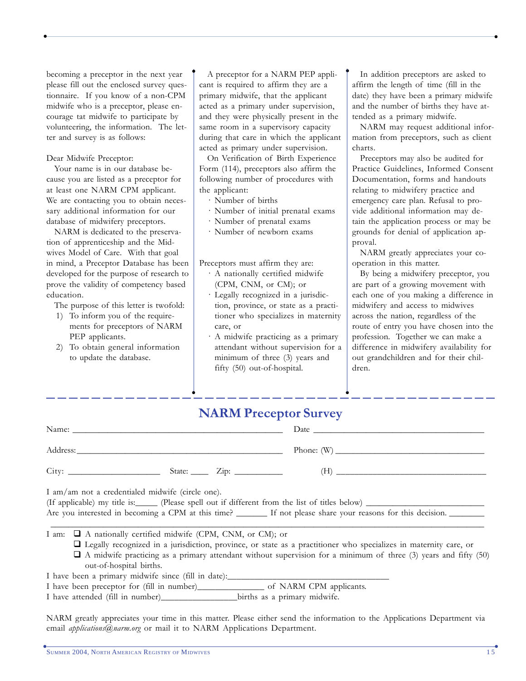becoming a preceptor in the next year please fill out the enclosed survey questionnaire. If you know of a non-CPM midwife who is a preceptor, please encourage tat midwife to participate by volunteering, the information. The letter and survey is as follows:

#### Dear Midwife Preceptor:

Your name is in our database because you are listed as a preceptor for at least one NARM CPM applicant. We are contacting you to obtain necessary additional information for our database of midwifery preceptors.

NARM is dedicated to the preservation of apprenticeship and the Midwives Model of Care. With that goal in mind, a Preceptor Database has been developed for the purpose of research to prove the validity of competency based education.

The purpose of this letter is twofold:

- 1) To inform you of the requirements for preceptors of NARM PEP applicants.
- 2) To obtain general information to update the database.

A preceptor for a NARM PEP applicant is required to affirm they are a primary midwife, that the applicant acted as a primary under supervision, and they were physically present in the same room in a supervisory capacity during that care in which the applicant acted as primary under supervision.

 $\bullet$  yields the contract of the contract of the contract of the contract of the contract of the contract of the contract of the contract of the contract of the contract of the contract of the contract of the contract of t

On Verification of Birth Experience Form (114), preceptors also affirm the following number of procedures with the applicant:

· Number of births

y

- · Number of initial prenatal exams
- · Number of prenatal exams
- · Number of newborn exams

Preceptors must affirm they are:

- · A nationally certified midwife (CPM, CNM, or CM); or
- · Legally recognized in a jurisdiction, province, or state as a practitioner who specializes in maternity care, or
- · A midwife practicing as a primary attendant without supervision for a minimum of three (3) years and fifty (50) out-of-hospital.

In addition preceptors are asked to affirm the length of time (fill in the date) they have been a primary midwife and the number of births they have attended as a primary midwife.

y

 $\bullet$ 

NARM may request additional information from preceptors, such as client charts.

Preceptors may also be audited for Practice Guidelines, Informed Consent Documentation, forms and handouts relating to midwifery practice and emergency care plan. Refusal to provide additional information may detain the application process or may be grounds for denial of application approval.

NARM greatly appreciates your cooperation in this matter.

By being a midwifery preceptor, you are part of a growing movement with each one of you making a difference in midwifery and access to midwives across the nation, regardless of the route of entry you have chosen into the profession. Together we can make a difference in midwifery availability for out grandchildren and for their children.

# **NARM Preceptor Survey**

| I am/am not a credentialed midwife (circle one).                  |  | (If applicable) my title is: (Please spell out if different from the list of titles below)<br>Are you interested in becoming a CPM at this time? ________ If not please share your reasons for this decision. |  |
|-------------------------------------------------------------------|--|---------------------------------------------------------------------------------------------------------------------------------------------------------------------------------------------------------------|--|
| I am: $\Box$ A nationally certified midwife (CPM, CNM, or CM); or |  |                                                                                                                                                                                                               |  |

- Legally recognized in a jurisdiction, province, or state as a practitioner who specializes in maternity care, or
- A midwife practicing as a primary attendant without supervision for a minimum of three (3) years and fifty (50) out-of-hospital births.

I have been a primary midwife since (fill in date):

I have been preceptor for (fill in number)\_\_\_\_\_\_\_\_\_\_\_\_\_\_\_ of NARM CPM applicants.

I have attended (fill in number) births as a primary midwife.

 $\bullet$ 

NARM greatly appreciates your time in this matter. Please either send the information to the Applications Department via email *applications@narm.org* or mail it to NARM Applications Department.